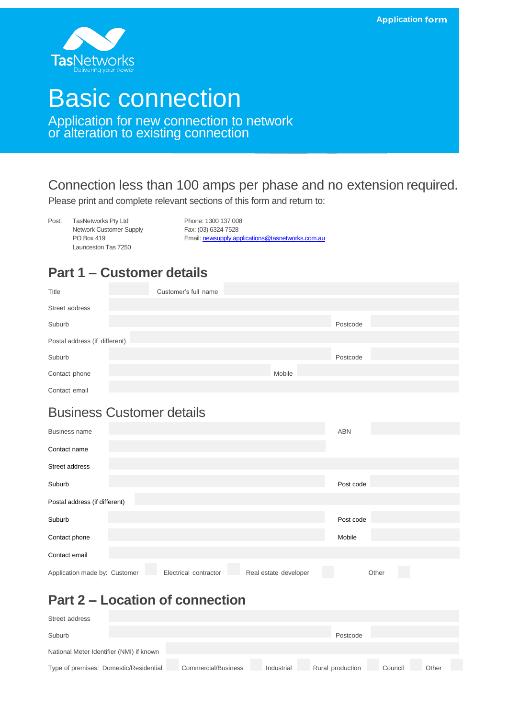**Application form** 



# Basic connection

Application for new connection to network or alteration to existing connection

#### Connection less than 100 amps per phase and no extension required.

Please print and complete relevant sections of this form and return to:

Post: TasNetworks Pty Ltd Phone: 1300 137 008 Network Customer Supply Fax: (03) 6324 7528<br>PO Box 419 Launceston Tas 7250

Email[: newsupply.applications@tasnetworks.com.au](mailto:newsupply.applications@tasnetworks.com.au)

## **Part 1 – Customer details**

| Title                         | Customer's full name |        |          |  |
|-------------------------------|----------------------|--------|----------|--|
| Street address                |                      |        |          |  |
| Suburb                        |                      |        | Postcode |  |
| Postal address (if different) |                      |        |          |  |
| Suburb                        |                      |        | Postcode |  |
| Contact phone                 |                      | Mobile |          |  |
| Contact email                 |                      |        |          |  |

#### Business Customer details

| <b>Business name</b>                                                            | <b>ABN</b> |  |  |  |
|---------------------------------------------------------------------------------|------------|--|--|--|
| Contact name                                                                    |            |  |  |  |
| Street address                                                                  |            |  |  |  |
| Suburb                                                                          | Post code  |  |  |  |
| Postal address (if different)                                                   |            |  |  |  |
| Suburb                                                                          | Post code  |  |  |  |
| Contact phone                                                                   | Mobile     |  |  |  |
| Contact email                                                                   |            |  |  |  |
| Application made by: Customer<br>Real estate developer<br>Electrical contractor | Other      |  |  |  |

# **Part 2 – Location of connection**

| Street address                           |  |                            |            |                  |         |       |  |
|------------------------------------------|--|----------------------------|------------|------------------|---------|-------|--|
| Suburb                                   |  |                            |            | Postcode         |         |       |  |
| National Meter Identifier (NMI) if known |  |                            |            |                  |         |       |  |
| Type of premises: Domestic/Residential   |  | <b>Commercial/Business</b> | Industrial | Rural production | Council | Other |  |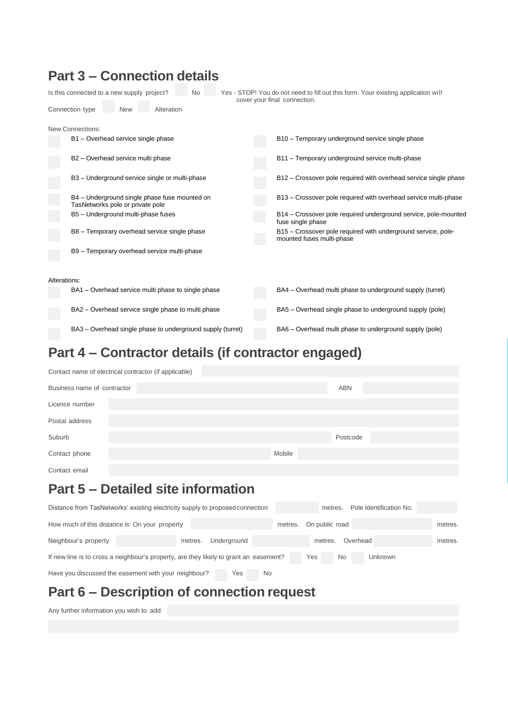| <b>Part 3 - Connection details</b>                                                |                                                                                                                   |
|-----------------------------------------------------------------------------------|-------------------------------------------------------------------------------------------------------------------|
| Is this connected to a new supply project?<br><b>No</b>                           | Yes - STOP! You do not need to fill out this form. Your existing application will<br>cover your final connection. |
| Connection type<br>Alteration<br><b>New</b>                                       |                                                                                                                   |
| New Connections:<br>B1 - Overhead service single phase                            | B10 - Temporary underground service single phase                                                                  |
| B2 - Overhead service multi phase                                                 | B11 - Temporary underground service multi-phase                                                                   |
| B3 - Underground service single or multi-phase                                    | B12 – Crossover pole required with overhead service single phase                                                  |
| B4 - Underground single phase fuse mounted on<br>TasNetworks pole or private pole | B13 - Crossover pole required with overhead service multi-phase                                                   |
| B5 - Underground multi-phase fuses                                                | B14 – Crossover pole required underground service, pole-mounted<br>fuse single phase                              |
| B8 - Temporary overhead service single phase                                      | B15 – Crossover pole required with underground service, pole-<br>mounted fuses multi-phase                        |
| B9 - Temporary overhead service multi-phase                                       |                                                                                                                   |
|                                                                                   |                                                                                                                   |
| Alterations:                                                                      |                                                                                                                   |
| BA1 – Overhead service multi phase to single phase                                | BA4 – Overhead multi phase to underground supply (turret)                                                         |
| BA2 – Overhead service single phase to multi phase                                | BA5 – Overhead single phase to underground supply (pole)                                                          |
| BA3 – Overhead single phase to underground supply (turret)                        | BA6 – Overhead multi phase to underground supply (pole)                                                           |

# **Part 4 – Contractor details (if contractor engaged)**

| Contact name of electrical contractor (if applicable) |        |            |  |  |
|-------------------------------------------------------|--------|------------|--|--|
| Business name of contractor                           |        | <b>ABN</b> |  |  |
| Licence number                                        |        |            |  |  |
| Postal address                                        |        |            |  |  |
| Suburb                                                |        | Postcode   |  |  |
| Contact phone                                         | Mobile |            |  |  |
| Contact email                                         |        |            |  |  |
| <b>Part 5 – Detailed site information</b>             |        |            |  |  |

#### Distance from TasNetworks' existing electricity supply to proposed connection metres. Pole Identification No. How much of this distance is: On your property metres. On public road metres. On public road metres. Neighbour's property metres. Underground metres. Overhead metres. If new line is to cross a neighbour's property, are they likely to grant an easement? Yes No Unknown Have you discussed the easement with your neighbour? Yes No

# **Part 6 – Description of connection request**

Any further information you wish to add